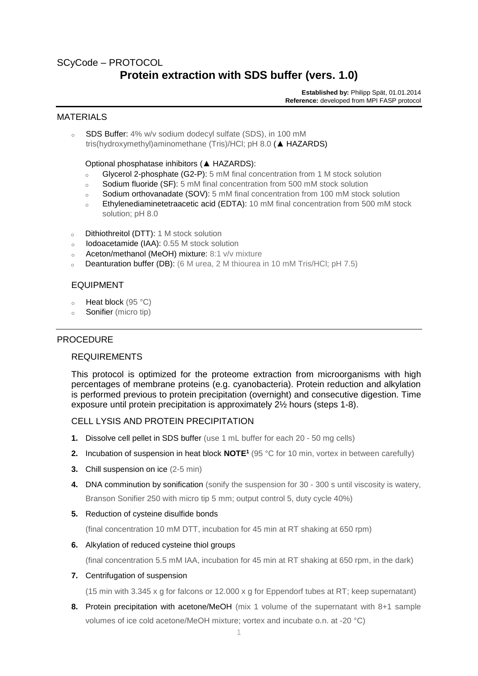## SCyCode – PROTOCOL

# **Protein extraction with SDS buffer (vers. 1.0)**

**Established by:** Philipp Spät, 01.01.2014 **Reference:** developed from MPI FASP protocol

#### MATERIALS

<sup>o</sup> SDS Buffer: 4% w/v sodium dodecyl sulfate (SDS), in 100 mM tris(hydroxymethyl)aminomethane (Tris)/HCl; pH 8.0 (**▲** HAZARDS)

Optional phosphatase inhibitors (**▲** HAZARDS):

- <sup>o</sup> Glycerol 2-phosphate (G2-P): 5 mM final concentration from 1 M stock solution
- <sup>o</sup> Sodium fluoride (SF): 5 mM final concentration from 500 mM stock solution
- <sup>o</sup> Sodium orthovanadate (SOV): 5 mM final concentration from 100 mM stock solution
- Ethylenediaminetetraacetic acid (EDTA): 10 mM final concentration from 500 mM stock solution; pH 8.0
- <sup>o</sup> Dithiothreitol (DTT): 1 M stock solution
- <sup>o</sup> Iodoacetamide (IAA): 0.55 M stock solution
- <sup>o</sup> Aceton/methanol (MeOH) mixture: 8:1 v/v mixture
- **Deanturation buffer (DB):** (6 M urea, 2 M thiourea in 10 mM Tris/HCl; pH 7.5)

#### EQUIPMENT

- $\circ$  Heat block (95 °C)
- <sup>o</sup> Sonifier (micro tip)

#### PROCEDURE

#### REQUIREMENTS

This protocol is optimized for the proteome extraction from microorganisms with high percentages of membrane proteins (e.g. cyanobacteria). Protein reduction and alkylation is performed previous to protein precipitation (overnight) and consecutive digestion. Time exposure until protein precipitation is approximately 2½ hours (steps 1-8).

#### CELL LYSIS AND PROTEIN PRECIPITATION

- **1.** Dissolve cell pellet in SDS buffer (use 1 mL buffer for each 20 50 mg cells)
- **2.** Incubation of suspension in heat block **NOTE<sup>1</sup>** (95 °C for 10 min, vortex in between carefully)
- **3.** Chill suspension on ice (2-5 min)
- **4.** DNA comminution by sonification (sonify the suspension for 30 300 s until viscosity is watery, Branson Sonifier 250 with micro tip 5 mm; output control 5, duty cycle 40%)
- **5.** Reduction of cysteine disulfide bonds

(final concentration 10 mM DTT, incubation for 45 min at RT shaking at 650 rpm)

**6.** Alkylation of reduced cysteine thiol groups

(final concentration 5.5 mM IAA, incubation for 45 min at RT shaking at 650 rpm, in the dark)

**7.** Centrifugation of suspension

(15 min with 3.345 x g for falcons or 12.000 x g for Eppendorf tubes at RT; keep supernatant)

**8.** Protein precipitation with acetone/MeOH (mix 1 volume of the supernatant with 8+1 sample volumes of ice cold acetone/MeOH mixture; vortex and incubate o.n. at -20 °C)